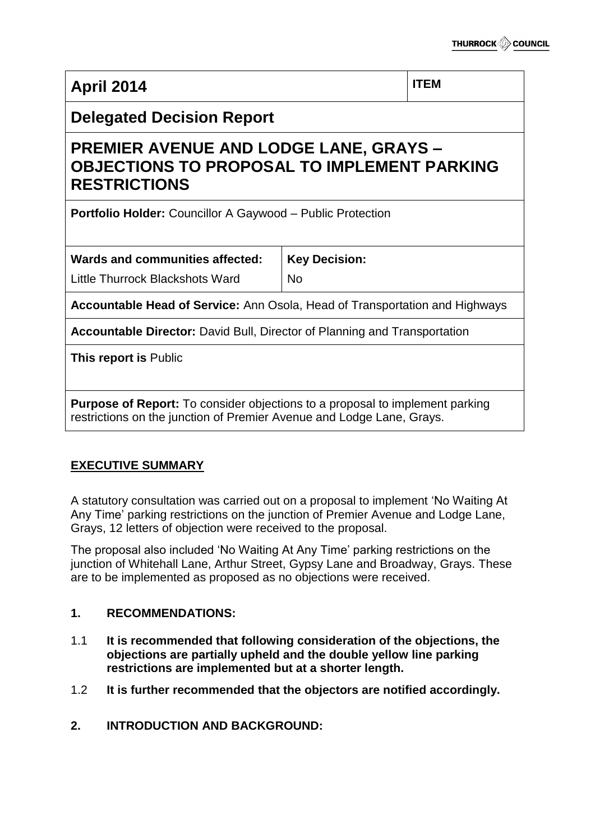| <b>April 2014</b>                                                                                                                                            |                      | <b>ITEM</b> |  |
|--------------------------------------------------------------------------------------------------------------------------------------------------------------|----------------------|-------------|--|
| <b>Delegated Decision Report</b>                                                                                                                             |                      |             |  |
| <b>PREMIER AVENUE AND LODGE LANE, GRAYS -</b><br><b>OBJECTIONS TO PROPOSAL TO IMPLEMENT PARKING</b><br><b>RESTRICTIONS</b>                                   |                      |             |  |
| <b>Portfolio Holder: Councillor A Gaywood - Public Protection</b>                                                                                            |                      |             |  |
| <b>Wards and communities affected:</b>                                                                                                                       | <b>Key Decision:</b> |             |  |
| Little Thurrock Blackshots Ward                                                                                                                              | <b>No</b>            |             |  |
| <b>Accountable Head of Service:</b> Ann Osola, Head of Transportation and Highways                                                                           |                      |             |  |
| <b>Accountable Director:</b> David Bull, Director of Planning and Transportation                                                                             |                      |             |  |
| This report is Public                                                                                                                                        |                      |             |  |
| <b>Purpose of Report:</b> To consider objections to a proposal to implement parking<br>restrictions on the junction of Premier Avenue and Lodge Lane, Grays. |                      |             |  |

# **EXECUTIVE SUMMARY**

A statutory consultation was carried out on a proposal to implement 'No Waiting At Any Time' parking restrictions on the junction of Premier Avenue and Lodge Lane, Grays, 12 letters of objection were received to the proposal.

The proposal also included 'No Waiting At Any Time' parking restrictions on the junction of Whitehall Lane, Arthur Street, Gypsy Lane and Broadway, Grays. These are to be implemented as proposed as no objections were received.

# **1. RECOMMENDATIONS:**

- 1.1 **It is recommended that following consideration of the objections, the objections are partially upheld and the double yellow line parking restrictions are implemented but at a shorter length.**
- 1.2 **It is further recommended that the objectors are notified accordingly.**
- **2. INTRODUCTION AND BACKGROUND:**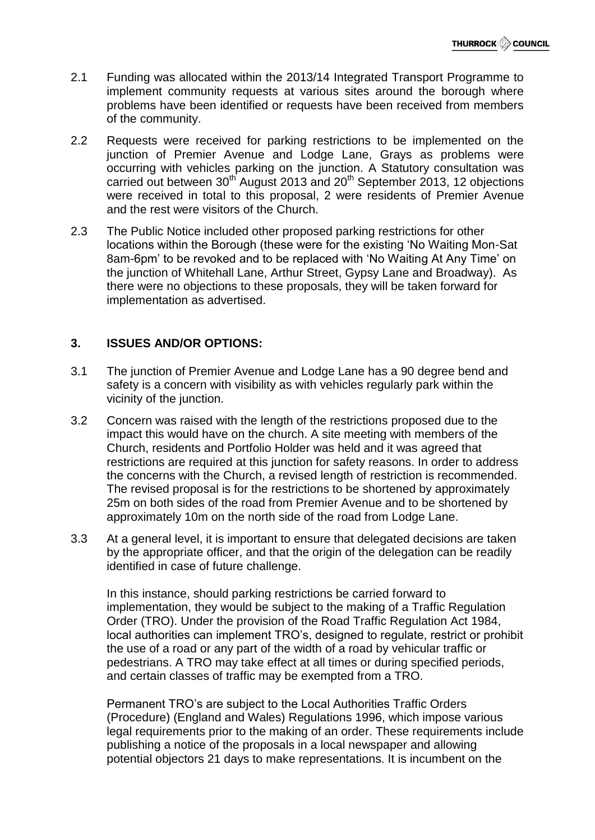- 2.1 Funding was allocated within the 2013/14 Integrated Transport Programme to implement community requests at various sites around the borough where problems have been identified or requests have been received from members of the community.
- 2.2 Requests were received for parking restrictions to be implemented on the junction of Premier Avenue and Lodge Lane, Grays as problems were occurring with vehicles parking on the junction. A Statutory consultation was carried out between  $30<sup>th</sup>$  August 2013 and 20<sup>th</sup> September 2013, 12 objections were received in total to this proposal, 2 were residents of Premier Avenue and the rest were visitors of the Church.
- 2.3 The Public Notice included other proposed parking restrictions for other locations within the Borough (these were for the existing 'No Waiting Mon-Sat 8am-6pm' to be revoked and to be replaced with 'No Waiting At Any Time' on the junction of Whitehall Lane, Arthur Street, Gypsy Lane and Broadway). As there were no objections to these proposals, they will be taken forward for implementation as advertised.

# **3. ISSUES AND/OR OPTIONS:**

- 3.1 The junction of Premier Avenue and Lodge Lane has a 90 degree bend and safety is a concern with visibility as with vehicles regularly park within the vicinity of the junction.
- 3.2 Concern was raised with the length of the restrictions proposed due to the impact this would have on the church. A site meeting with members of the Church, residents and Portfolio Holder was held and it was agreed that restrictions are required at this junction for safety reasons. In order to address the concerns with the Church, a revised length of restriction is recommended. The revised proposal is for the restrictions to be shortened by approximately 25m on both sides of the road from Premier Avenue and to be shortened by approximately 10m on the north side of the road from Lodge Lane.
- 3.3 At a general level, it is important to ensure that delegated decisions are taken by the appropriate officer, and that the origin of the delegation can be readily identified in case of future challenge.

In this instance, should parking restrictions be carried forward to implementation, they would be subject to the making of a Traffic Regulation Order (TRO). Under the provision of the Road Traffic Regulation Act 1984, local authorities can implement TRO's, designed to regulate, restrict or prohibit the use of a road or any part of the width of a road by vehicular traffic or pedestrians. A TRO may take effect at all times or during specified periods, and certain classes of traffic may be exempted from a TRO.

Permanent TRO's are subject to the Local Authorities Traffic Orders (Procedure) (England and Wales) Regulations 1996, which impose various legal requirements prior to the making of an order. These requirements include publishing a notice of the proposals in a local newspaper and allowing potential objectors 21 days to make representations. It is incumbent on the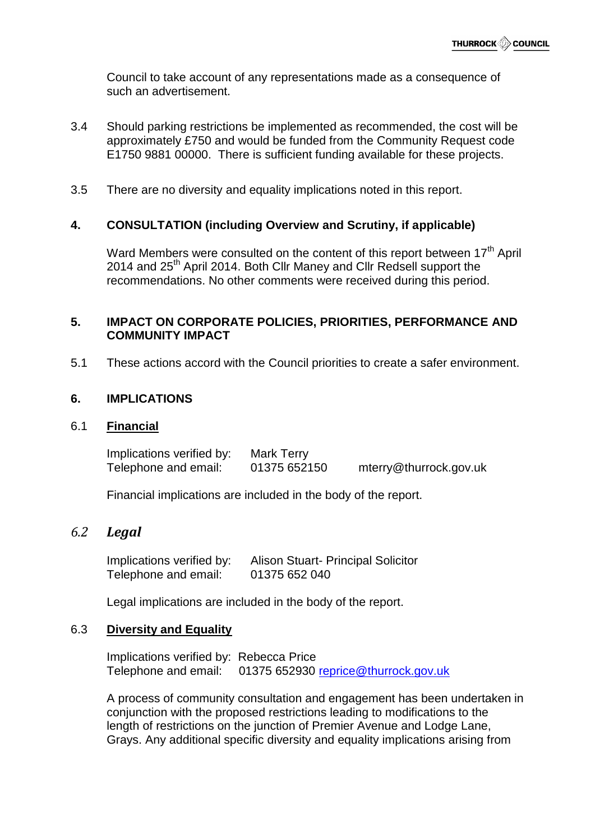Council to take account of any representations made as a consequence of such an advertisement.

- 3.4 Should parking restrictions be implemented as recommended, the cost will be approximately £750 and would be funded from the Community Request code E1750 9881 00000. There is sufficient funding available for these projects.
- 3.5 There are no diversity and equality implications noted in this report.

#### **4. CONSULTATION (including Overview and Scrutiny, if applicable)**

Ward Members were consulted on the content of this report between 17<sup>th</sup> April 2014 and 25<sup>th</sup> April 2014. Both Cllr Maney and Cllr Redsell support the recommendations. No other comments were received during this period.

#### **5. IMPACT ON CORPORATE POLICIES, PRIORITIES, PERFORMANCE AND COMMUNITY IMPACT**

5.1 These actions accord with the Council priorities to create a safer environment.

#### **6. IMPLICATIONS**

#### 6.1 **Financial**

| Implications verified by: | Mark Terry   |                        |
|---------------------------|--------------|------------------------|
| Telephone and email:      | 01375 652150 | mterry@thurrock.gov.uk |

Financial implications are included in the body of the report.

# *6.2 Legal*

Implications verified by: Alison Stuart- Principal Solicitor Telephone and email: 01375 652 040

Legal implications are included in the body of the report.

#### 6.3 **Diversity and Equality**

Implications verified by: Rebecca Price Telephone and email: 01375 652930 [reprice@thurrock.gov.uk](mailto:reprice@thurrock.gov.uk)

A process of community consultation and engagement has been undertaken in conjunction with the proposed restrictions leading to modifications to the length of restrictions on the junction of Premier Avenue and Lodge Lane, Grays. Any additional specific diversity and equality implications arising from